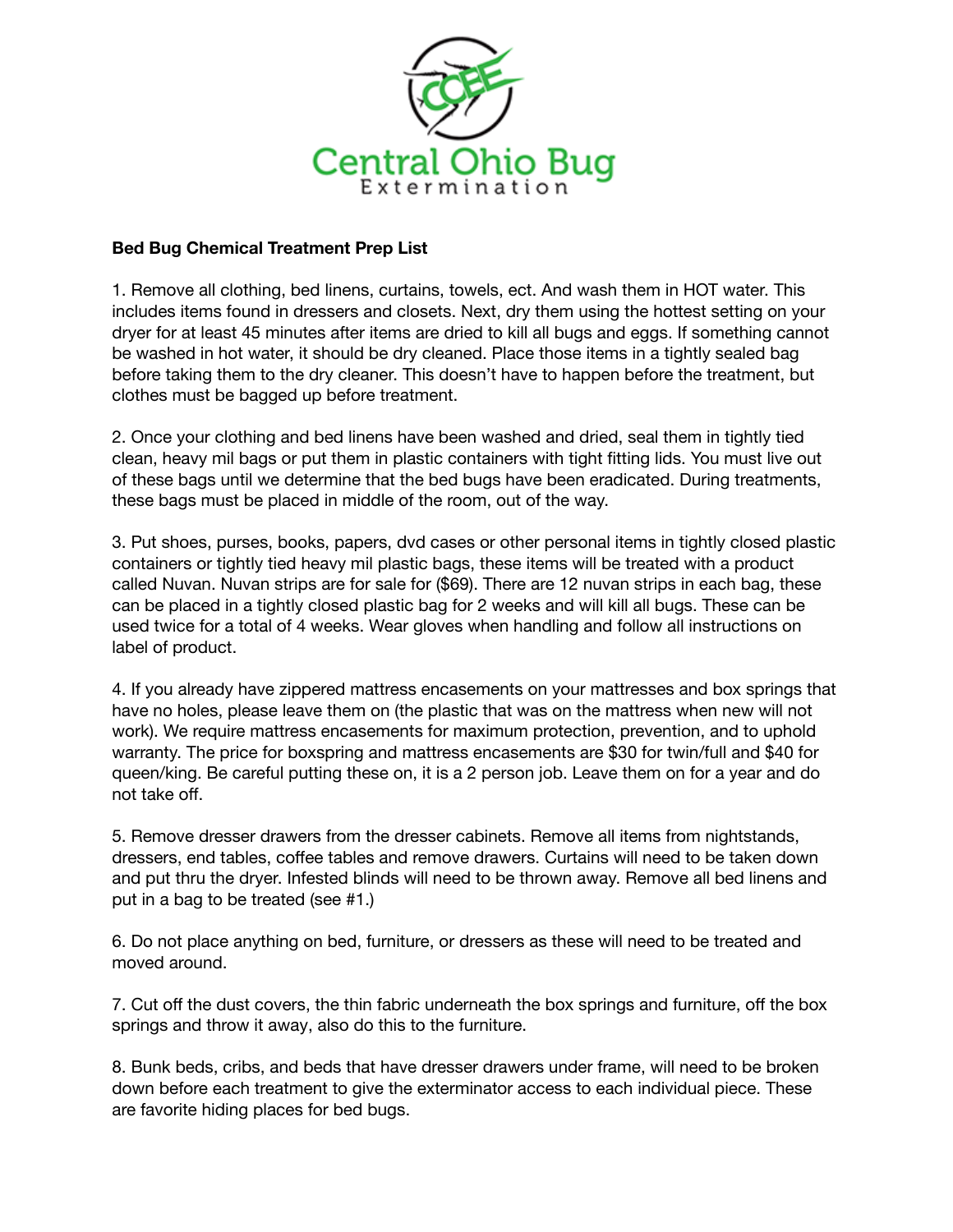

## **Bed Bug Chemical Treatment Prep List**

1. Remove all clothing, bed linens, curtains, towels, ect. And wash them in HOT water. This includes items found in dressers and closets. Next, dry them using the hottest setting on your dryer for at least 45 minutes after items are dried to kill all bugs and eggs. If something cannot be washed in hot water, it should be dry cleaned. Place those items in a tightly sealed bag before taking them to the dry cleaner. This doesn't have to happen before the treatment, but clothes must be bagged up before treatment.

2. Once your clothing and bed linens have been washed and dried, seal them in tightly tied clean, heavy mil bags or put them in plastic containers with tight fitting lids. You must live out of these bags until we determine that the bed bugs have been eradicated. During treatments, these bags must be placed in middle of the room, out of the way.

3. Put shoes, purses, books, papers, dvd cases or other personal items in tightly closed plastic containers or tightly tied heavy mil plastic bags, these items will be treated with a product called Nuvan. Nuvan strips are for sale for (\$69). There are 12 nuvan strips in each bag, these can be placed in a tightly closed plastic bag for 2 weeks and will kill all bugs. These can be used twice for a total of 4 weeks. Wear gloves when handling and follow all instructions on label of product.

4. If you already have zippered mattress encasements on your mattresses and box springs that have no holes, please leave them on (the plastic that was on the mattress when new will not work). We require mattress encasements for maximum protection, prevention, and to uphold warranty. The price for boxspring and mattress encasements are \$30 for twin/full and \$40 for queen/king. Be careful putting these on, it is a 2 person job. Leave them on for a year and do not take off.

5. Remove dresser drawers from the dresser cabinets. Remove all items from nightstands, dressers, end tables, coffee tables and remove drawers. Curtains will need to be taken down and put thru the dryer. Infested blinds will need to be thrown away. Remove all bed linens and put in a bag to be treated (see #1.)

6. Do not place anything on bed, furniture, or dressers as these will need to be treated and moved around.

7. Cut off the dust covers, the thin fabric underneath the box springs and furniture, off the box springs and throw it away, also do this to the furniture.

8. Bunk beds, cribs, and beds that have dresser drawers under frame, will need to be broken down before each treatment to give the exterminator access to each individual piece. These are favorite hiding places for bed bugs.